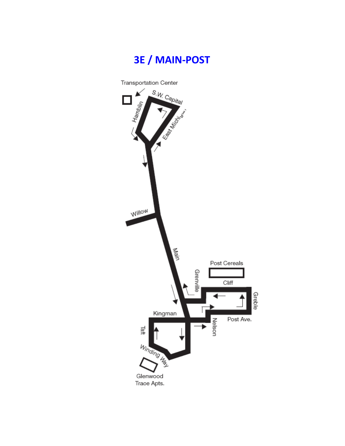